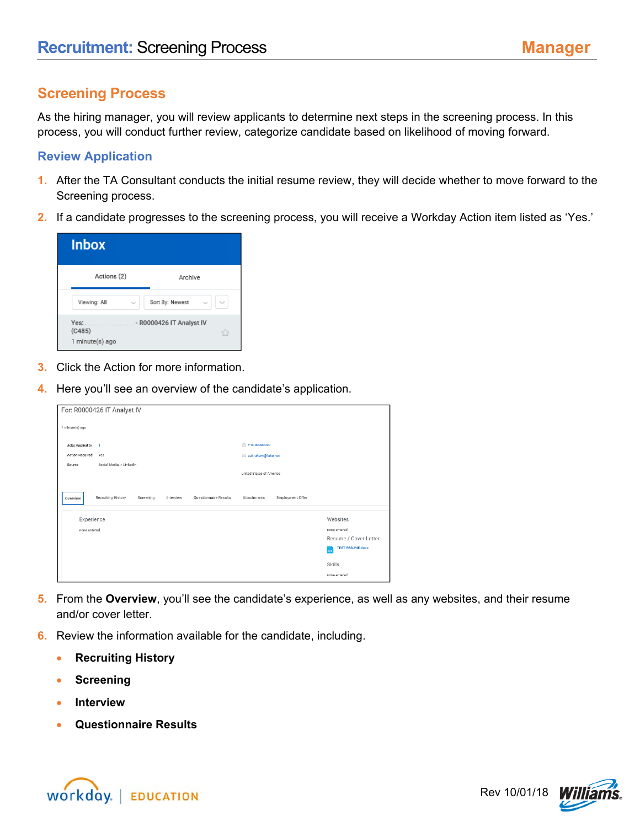## **Screening Process**

As the hiring manager, you will review applicants to determine next steps in the screening process. In this process, you will conduct further review, categorize candidate based on likelihood of moving forward.

## **Review Application**

- **1.** After the TA Consultant conducts the initial resume review, they will decide whether to move forward to the Screening process.
- **2.** If a candidate progresses to the screening process, you will receive a Workday Action item listed as 'Yes.'

| <b>Inbox</b>                      |                          |
|-----------------------------------|--------------------------|
| Actions (2)                       | Archive                  |
| Viewing: All                      | Sort By: Newest          |
| Yes:<br>(C485)<br>1 minute(s) ago | - R0000426 IT Analyst IV |

- **3.** Click the Action for more information.
- **4.** Here you'll see an overview of the candidate's application.

|                            | For: R0000426 IT Analyst IV |           |           |                       |                                 |                  |                                                                                                        |
|----------------------------|-----------------------------|-----------|-----------|-----------------------|---------------------------------|------------------|--------------------------------------------------------------------------------------------------------|
| 1 minute(s) ago            |                             |           |           |                       |                                 |                  |                                                                                                        |
| Jobs Applied to            | $\mathbf{1}$                |           |           |                       | $\textcircled{r}$ + 00000000000 |                  |                                                                                                        |
| <b>Action Required</b>     | Yes                         |           |           |                       | abraham@fake.net                |                  |                                                                                                        |
| Source                     | Social Media -> LinkedIn    |           |           |                       | United States of America        |                  |                                                                                                        |
| Overview                   | Recruiting History          | Screening | Interview | Questionnaire Results | Attachments                     | Employment Offer |                                                                                                        |
| Experience<br>none entered |                             |           |           |                       |                                 |                  | Websites<br>none entered<br>Resume / Cover Letter<br><b>TEST RESUME.docx</b><br>Skills<br>none entered |

- **5.** From the **Overview**, you'll see the candidate's experience, as well as any websites, and their resume and/or cover letter.
- **6.** Review the information available for the candidate, including.
	- **Recruiting History**
	- **Screening**
	- **Interview**
	- **Questionnaire Results**